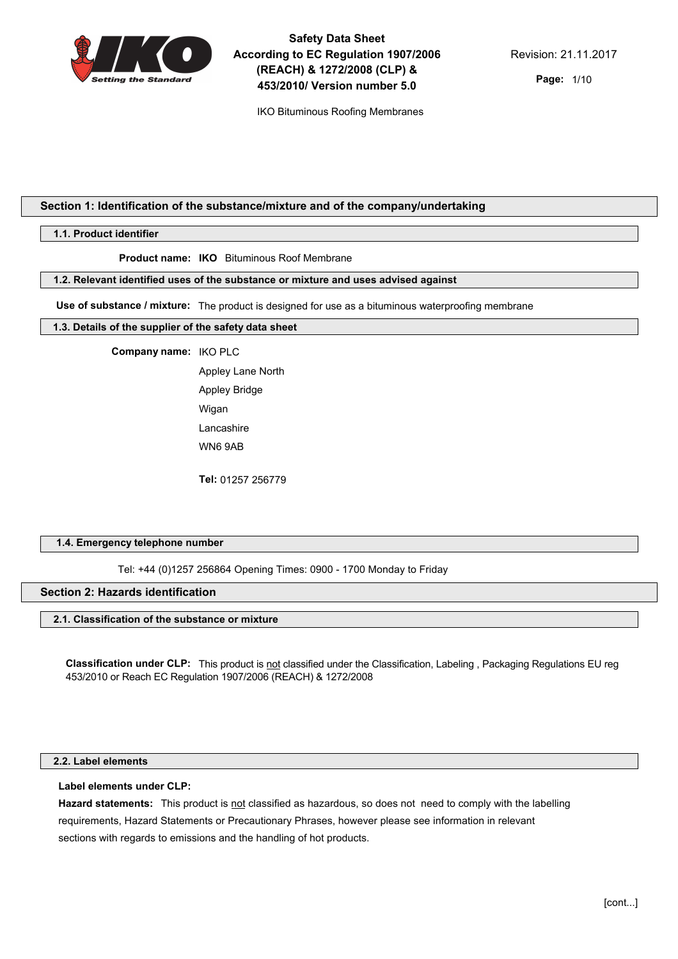

IKO Bituminous Roofing Membranes

**Page:** 1/10

# **Section 1: Identification of the substance/mixture and of the company/undertaking**

### **1.1. Product identifier**

**Product name: IKO** Bituminous Roof Membrane

## **1.2. Relevant identified uses of the substance or mixture and uses advised against**

**Use of substance / mixture:** The product is designed for use as a bituminous waterproofing membrane

#### **1.3. Details of the supplier of the safety data sheet**

#### **Company name:** IKO PLC

Appley Lane North Appley Bridge Wigan Lancashire WN6 9AB

**Tel:** 01257 256779

## **1.4. Emergency telephone number**

Tel: +44 (0)1257 256864 Opening Times: 0900 - 1700 Monday to Friday

# **Section 2: Hazards identification**

## **2.1. Classification of the substance or mixture**

**Classification under CLP:** This product is not classified under the Classification, Labeling , Packaging Regulations EU reg 453/2010 or Reach EC Regulation 1907/2006 (REACH) & 1272/2008

## **2.2. Label elements**

#### **Label elements under CLP:**

**Hazard statements:** This product is not classified as hazardous, so does not need to comply with the labelling requirements, Hazard Statements or Precautionary Phrases, however please see information in relevant sections with regards to emissions and the handling of hot products.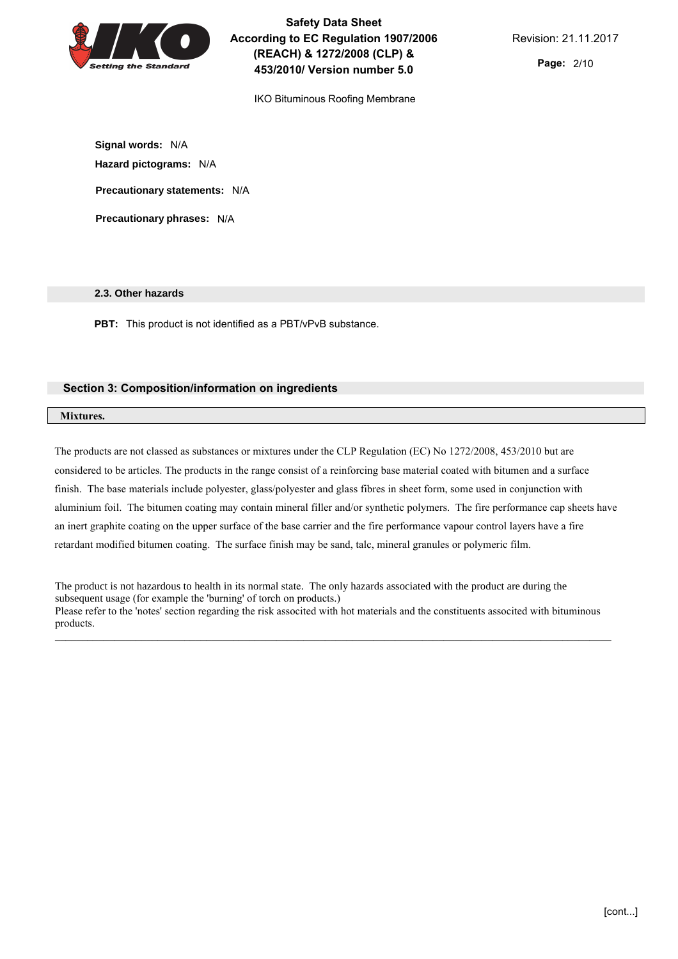

IKO Bituminous Roofing Membrane

**Signal words:** N/A **Hazard pictograms:** N/A **Precautionary statements:** N/A

**Precautionary phrases:** N/A

## **2.3. Other hazards**

**PBT:** This product is not identified as a PBT/vPvB substance.

## **Section 3: Composition/information on ingredients**

## **Mixtures.**

The products are not classed as substances or mixtures under the CLP Regulation (EC) No 1272/2008, 453/2010 but are considered to be articles. The products in the range consist of a reinforcing base material coated with bitumen and a surface finish. The base materials include polyester, glass/polyester and glass fibres in sheet form, some used in conjunction with aluminium foil. The bitumen coating may contain mineral filler and/or synthetic polymers. The fire performance cap sheets have an inert graphite coating on the upper surface of the base carrier and the fire performance vapour control layers have a fire retardant modified bitumen coating. The surface finish may be sand, talc, mineral granules or polymeric film.

The product is not hazardous to health in its normal state. The only hazards associated with the product are during the subsequent usage (for example the 'burning' of torch on products.) Please refer to the 'notes' section regarding the risk associted with hot materials and the constituents associted with bituminous products.

\_\_\_\_\_\_\_\_\_\_\_\_\_\_\_\_\_\_\_\_\_\_\_\_\_\_\_\_\_\_\_\_\_\_\_\_\_\_\_\_\_\_\_\_\_\_\_\_\_\_\_\_\_\_\_\_\_\_\_\_\_\_\_\_\_\_\_\_\_\_\_\_\_\_\_\_\_\_\_\_\_\_\_\_\_\_\_\_\_\_\_\_\_\_\_\_\_\_\_\_\_\_\_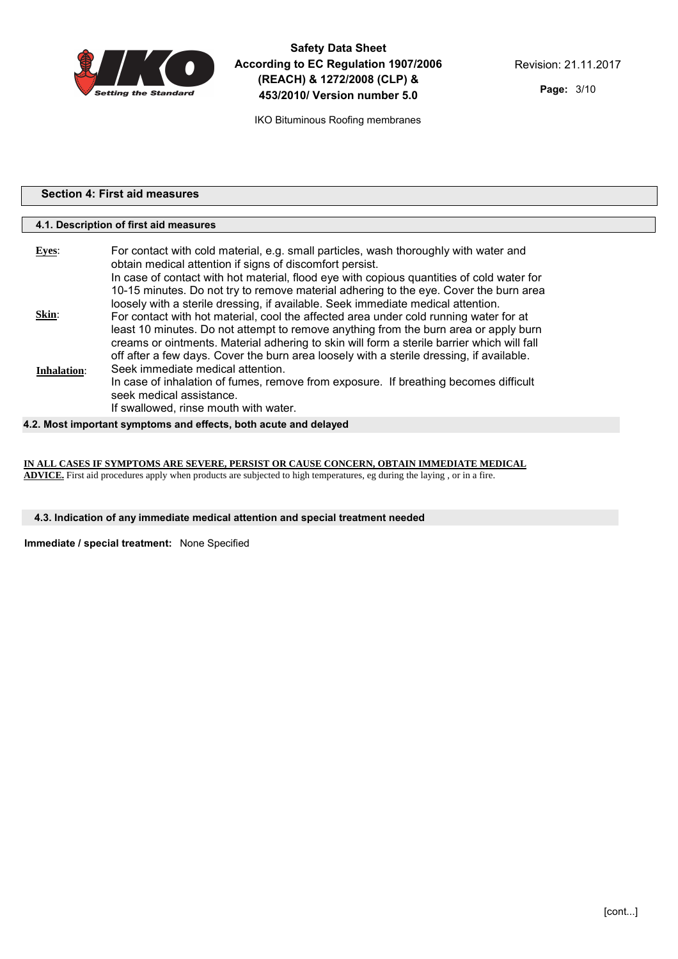

**Page:** 3/10

| <b>Section 4: First aid measures</b> |                                                                                                                                                                                                                                                                                                                                                                                                                            |  |
|--------------------------------------|----------------------------------------------------------------------------------------------------------------------------------------------------------------------------------------------------------------------------------------------------------------------------------------------------------------------------------------------------------------------------------------------------------------------------|--|
|                                      | 4.1. Description of first aid measures                                                                                                                                                                                                                                                                                                                                                                                     |  |
|                                      |                                                                                                                                                                                                                                                                                                                                                                                                                            |  |
| <b>Eyes:</b>                         | For contact with cold material, e.g. small particles, wash thoroughly with water and<br>obtain medical attention if signs of discomfort persist.<br>In case of contact with hot material, flood eye with copious quantities of cold water for<br>10-15 minutes. Do not try to remove material adhering to the eye. Cover the burn area<br>loosely with a sterile dressing, if available. Seek immediate medical attention. |  |

|                    | <u>tuusely willi a sielile ülessiily, il avallable. Seen illillieulale liieulual alleliliuli.</u> |
|--------------------|---------------------------------------------------------------------------------------------------|
| Skin:              | For contact with hot material, cool the affected area under cold running water for at             |
|                    | least 10 minutes. Do not attempt to remove anything from the burn area or apply burn              |
|                    | creams or ointments. Material adhering to skin will form a sterile barrier which will fall        |
|                    | off after a few days. Cover the burn area loosely with a sterile dressing, if available.          |
| <b>Inhalation:</b> | Seek immediate medical attention.                                                                 |
|                    | In case of inhalation of fumes, remove from exposure. If breathing becomes difficult              |
|                    | seek medical assistance.                                                                          |
|                    | If swallowed, rinse mouth with water.                                                             |

## **4.2. Most important symptoms and effects, both acute and delayed**

**IN ALL CASES IF SYMPTOMS ARE SEVERE, PERSIST OR CAUSE CONCERN, OBTAIN IMMEDIATE MEDICAL ADVICE.** First aid procedures apply when products are subjected to high temperatures, eg during the laying , or in a fire.

#### **4.3. Indication of any immediate medical attention and special treatment needed**

**Immediate / special treatment:** None Specified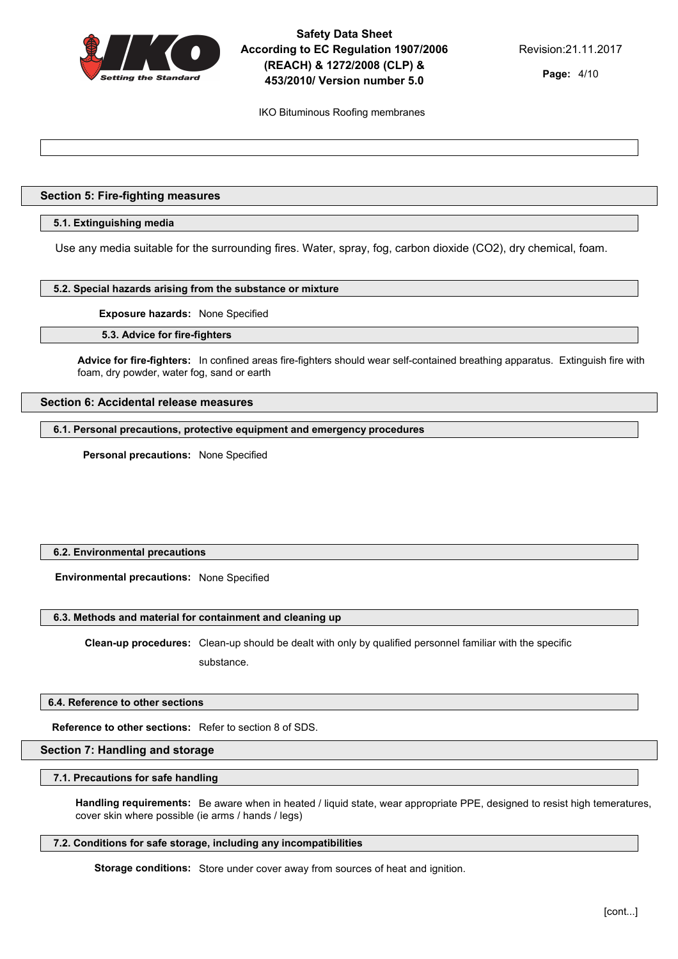

**Page:** 4/10

IKO Bituminous Roofing membranes

## **Section 5: Fire-fighting measures**

## **5.1. Extinguishing media**

Use any media suitable for the surrounding fires. Water, spray, fog, carbon dioxide (CO2), dry chemical, foam.

### **5.2. Special hazards arising from the substance or mixture**

**Exposure hazards:** None Specified

#### **5.3. Advice for fire-fighters**

**Advice for fire-fighters:** In confined areas fire-fighters should wear self-contained breathing apparatus. Extinguish fire with foam, dry powder, water fog, sand or earth

## **Section 6: Accidental release measures**

**6.1. Personal precautions, protective equipment and emergency procedures**

**Personal precautions:** None Specified

## **6.2. Environmental precautions**

**Environmental precautions:** None Specified

## **6.3. Methods and material for containment and cleaning up**

**Clean-up procedures:** Clean-up should be dealt with only by qualified personnel familiar with the specific substance.

#### **6.4. Reference to other sections**

**Reference to other sections:** Refer to section 8 of SDS.

## **Section 7: Handling and storage**

## **7.1. Precautions for safe handling**

**Handling requirements:** Be aware when in heated / liquid state, wear appropriate PPE, designed to resist high temeratures, cover skin where possible (ie arms / hands / legs)

#### **7.2. Conditions for safe storage, including any incompatibilities**

**Storage conditions:** Store under cover away from sources of heat and ignition.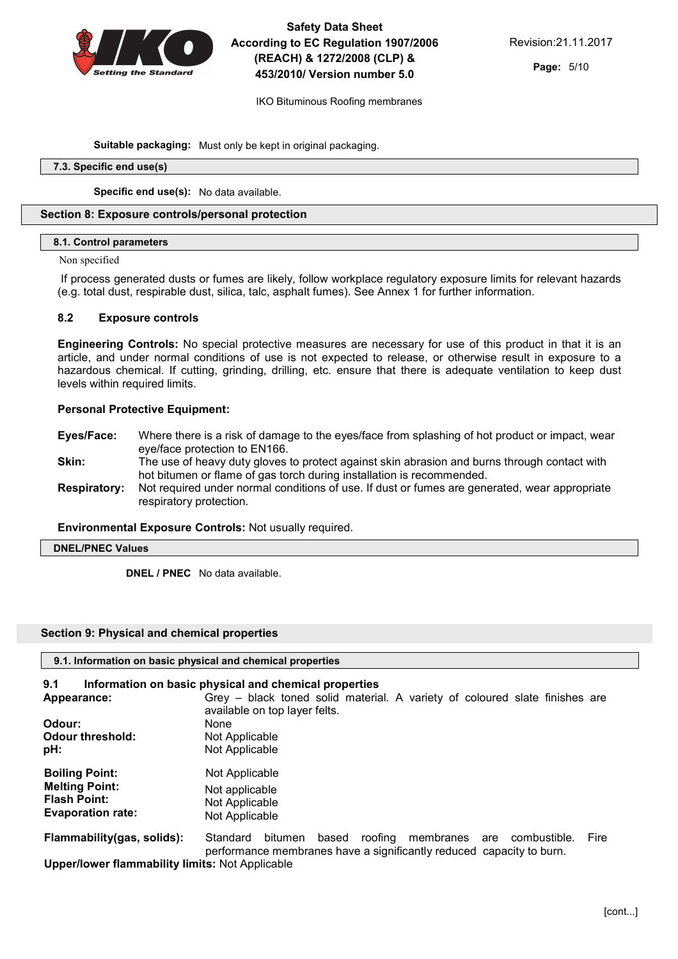

IKO Bituminous Roofing membranes

**Suitable packaging:** Must only be kept in original packaging.

#### **7.3. Specific end use(s)**

**Specific end use(s):** No data available.

## **Section 8: Exposure controls/personal protection**

## **8.1. Control parameters**

#### Non specified

 If process generated dusts or fumes are likely, follow workplace regulatory exposure limits for relevant hazards (e.g. total dust, respirable dust, silica, talc, asphalt fumes). See Annex 1 for further information.

## 8.2 Exposure controls

Engineering Controls: No special protective measures are necessary for use of this product in that it is an article, and under normal conditions of use is not expected to release, or otherwise result in exposure to a hazardous chemical. If cutting, grinding, drilling, etc. ensure that there is adequate ventilation to keep dust levels within required limits.

## Personal Protective Equipment:

- Eyes/Face: Where there is a risk of damage to the eyes/face from splashing of hot product or impact, wear eye/face protection to EN166.
- **Skin:** The use of heavy duty gloves to protect against skin abrasion and burns through contact with hot bitumen or flame of gas torch during installation is recommended.
- Respiratory: Not required under normal conditions of use. If dust or fumes are generated, wear appropriate respiratory protection.

#### Environmental Exposure Controls: Not usually required.

```
DNEL/PNEC Values
```
**DNEL / PNEC** No data available.

#### **Section 9: Physical and chemical properties**

| 9.1. Information on basic physical and chemical properties               |                                                                                                                                                       |  |  |
|--------------------------------------------------------------------------|-------------------------------------------------------------------------------------------------------------------------------------------------------|--|--|
| 9.1                                                                      | Information on basic physical and chemical properties                                                                                                 |  |  |
| Appearance:                                                              | Grey - black toned solid material. A variety of coloured slate finishes are<br>available on top layer felts.                                          |  |  |
| Odour:                                                                   | None                                                                                                                                                  |  |  |
| <b>Odour threshold:</b><br>pH:                                           | Not Applicable<br>Not Applicable                                                                                                                      |  |  |
| <b>Boiling Point:</b>                                                    | Not Applicable                                                                                                                                        |  |  |
| <b>Melting Point:</b><br><b>Flash Point:</b><br><b>Evaporation rate:</b> | Not applicable<br>Not Applicable<br>Not Applicable                                                                                                    |  |  |
| Flammability(gas, solids):                                               | roofing membranes are<br>Standard<br>bitumen<br>based<br>combustible.<br>Fire<br>performance membranes have a significantly reduced capacity to burn. |  |  |
| ilian an diarram fiancesa a la Hitre Hosttan Alat. Anno Baalcha          |                                                                                                                                                       |  |  |

Upper/lower flammability limits: Not Applicable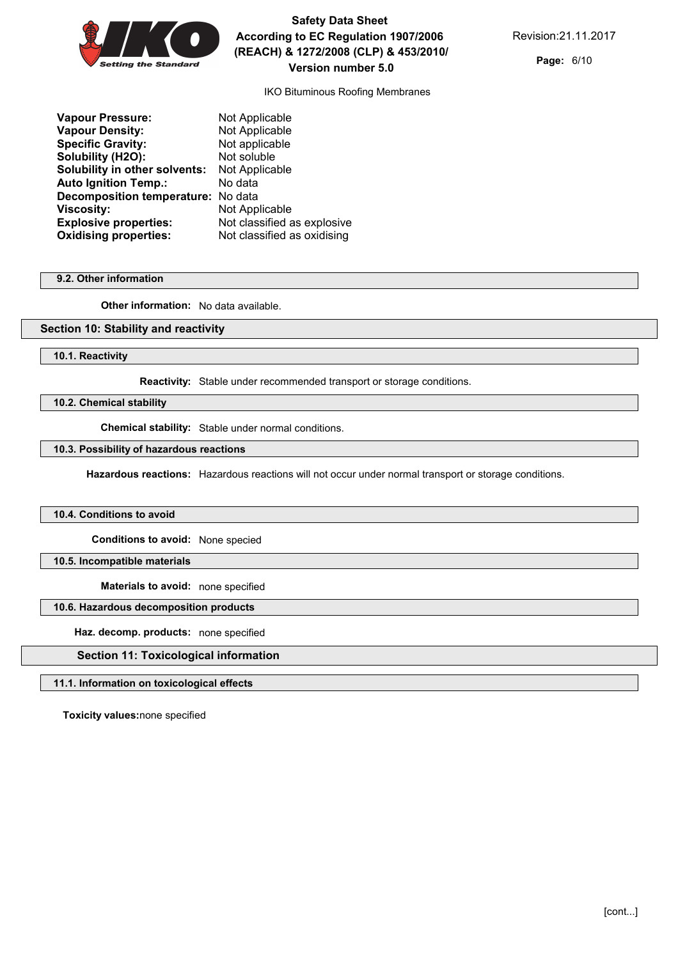

**Page:** 6/10

IKO Bituminous Roofing Membranes

| <b>Vapour Pressure:</b>              | Not Applicable              |
|--------------------------------------|-----------------------------|
| <b>Vapour Density:</b>               | Not Applicable              |
| <b>Specific Gravity:</b>             | Not applicable              |
| Solubility (H2O):                    | Not soluble                 |
| <b>Solubility in other solvents:</b> | Not Applicable              |
| <b>Auto Ignition Temp.:</b>          | No data                     |
| Decomposition temperature: No data   |                             |
| Viscosity:                           | Not Applicable              |
| <b>Explosive properties:</b>         | Not classified as explosive |
| <b>Oxidising properties:</b>         | Not classified as oxidising |
|                                      |                             |

#### **9.2. Other information**

**Other information:** No data available.

### **Section 10: Stability and reactivity**

**10.1. Reactivity**

**Reactivity:** Stable under recommended transport or storage conditions.

**10.2. Chemical stability**

**Chemical stability:** Stable under normal conditions.

## **10.3. Possibility of hazardous reactions**

**Hazardous reactions:** Hazardous reactions will not occur under normal transport or storage conditions.

#### **10.4. Conditions to avoid**

**Conditions to avoid:** None specied

## **10.5. Incompatible materials**

**Materials to avoid:** none specified

## **10.6. Hazardous decomposition products**

**Haz. decomp. products:** none specified

## **Section 11: Toxicological information**

#### **11.1. Information on toxicological effects**

**Toxicity values:**none specified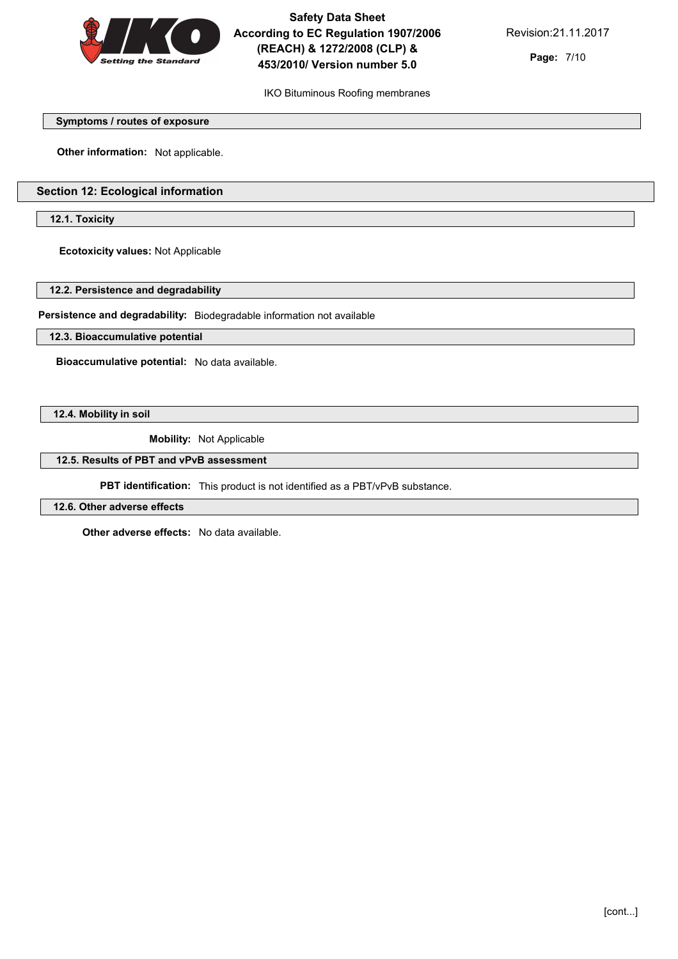

**Page:** 7/10

## IKO Bituminous Roofing membranes

#### **Symptoms / routes of exposure**

**Other information:** Not applicable.

# **Section 12: Ecological information**

**12.1. Toxicity**

**Ecotoxicity values:** Not Applicable

**12.2. Persistence and degradability**

**Persistence and degradability:** Biodegradable information not available

**12.3. Bioaccumulative potential**

**Bioaccumulative potential:** No data available.

**12.4. Mobility in soil**

**Mobility:** Not Applicable

**12.5. Results of PBT and vPvB assessment**

**PBT identification:** This product is not identified as a PBT/vPvB substance.

**12.6. Other adverse effects**

**Other adverse effects:** No data available.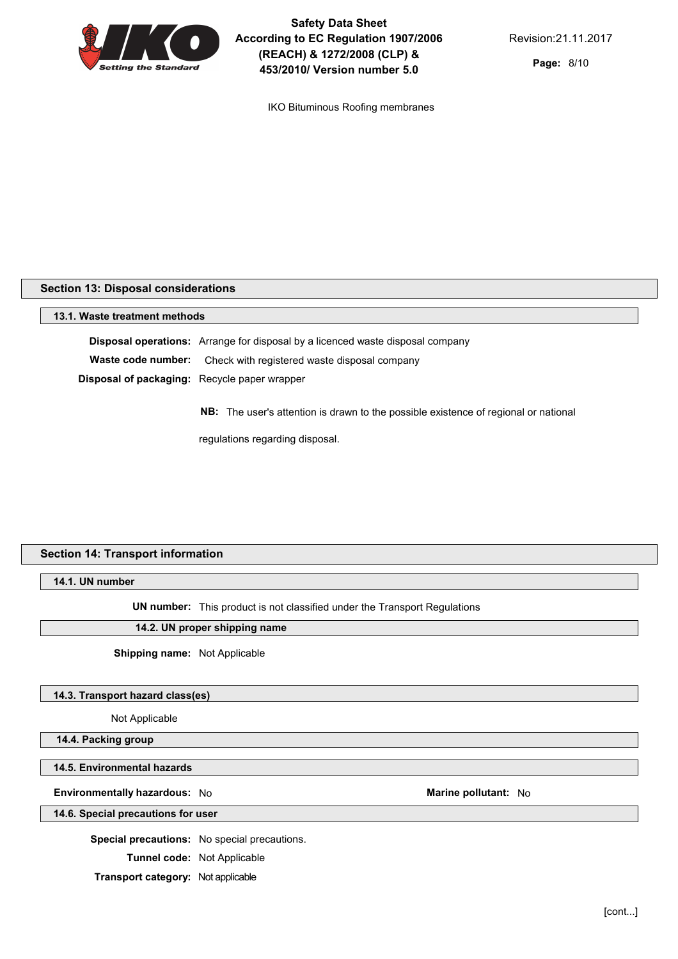

IKO Bituminous Roofing membranes

#### **Section 13: Disposal considerations**

**13.1. Waste treatment methods Disposal operations:** Arrange for disposal by a licenced waste disposal company **Waste code number:** Check with registered waste disposal company **Disposal of packaging:** Recycle paper wrapper

**NB:** The user's attention is drawn to the possible existence of regional or national

regulations regarding disposal.

# **Section 14: Transport information**

**14.1. UN number**

**UN number:** This product is not classified under the Transport Regulations

#### **14.2. UN proper shipping name**

**Shipping name:** Not Applicable

#### **14.3. Transport hazard class(es)**

Not Applicable

**14.4. Packing group**

**14.5. Environmental hazards**

#### **Environmentally hazardous:** No **Marine Marine Marine** pollutant: No **Marine Marine Marine Marine Marine Marine Marine Marine Marine Marine Marine Marine Marine Marine Marine Marine Mari**

**14.6. Special precautions for user**

**Special precautions:** No special precautions.

**Tunnel code:** Not Applicable

**Transport category:** Not applicable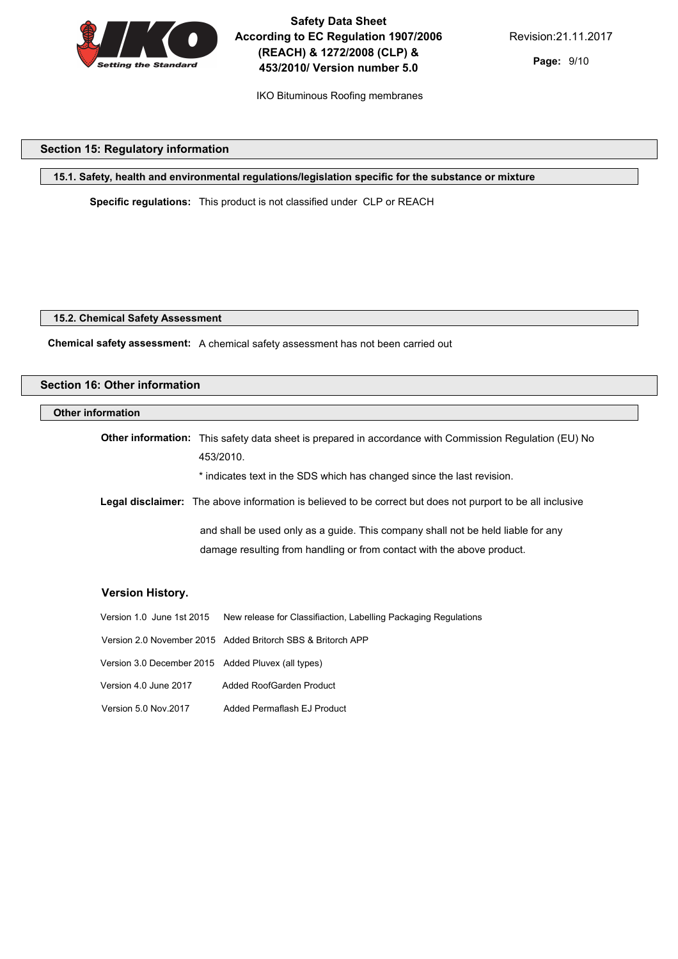

IKO Bituminous Roofing membranes

# **Section 15: Regulatory information**

**15.1. Safety, health and environmental regulations/legislation specific for the substance or mixture**

**Specific regulations:** This product is not classified under CLP or REACH

#### **15.2. Chemical Safety Assessment**

**Chemical safety assessment:** A chemical safety assessment has not been carried out

| <b>Section 16: Other information</b> |                                                                                                                     |  |  |  |
|--------------------------------------|---------------------------------------------------------------------------------------------------------------------|--|--|--|
| <b>Other information</b>             |                                                                                                                     |  |  |  |
|                                      | Other information: This safety data sheet is prepared in accordance with Commission Regulation (EU) No<br>453/2010. |  |  |  |
|                                      | * indicates text in the SDS which has changed since the last revision.                                              |  |  |  |
|                                      | Legal disclaimer: The above information is believed to be correct but does not purport to be all inclusive          |  |  |  |
|                                      | and shall be used only as a guide. This company shall not be held liable for any                                    |  |  |  |
|                                      | damage resulting from handling or from contact with the above product.                                              |  |  |  |
|                                      |                                                                                                                     |  |  |  |
| <b>Version History.</b>              |                                                                                                                     |  |  |  |
|                                      | Version 1.0 June 1st 2015 New release for Classifiaction, Labelling Packaging Regulations                           |  |  |  |
|                                      | Version 2.0 November 2015 Added Britorch SBS & Britorch APP                                                         |  |  |  |
|                                      | Version 3.0 December 2015 Added Pluvex (all types)                                                                  |  |  |  |
| Version 4.0 June 2017                | Added RoofGarden Product                                                                                            |  |  |  |

Version 5.0 Nov.2017 Added Permaflash EJ Product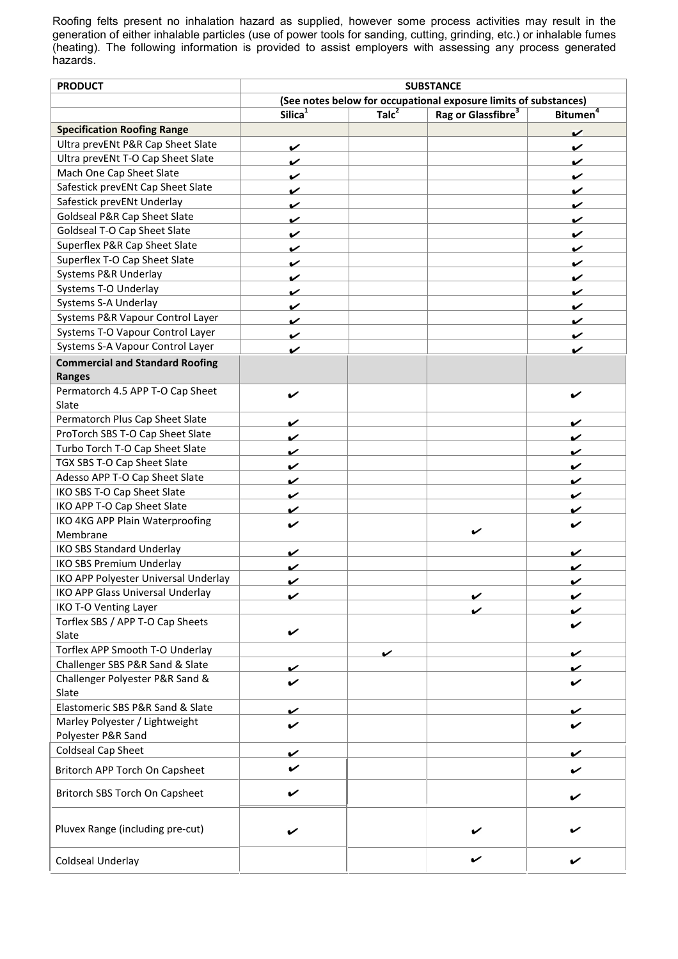Roofing felts present no inhalation hazard as supplied, however some process activities may result in the generation of either inhalable particles (use of power tools for sanding, cutting, grinding, etc.) or inhalable fumes (heating). The following information is provided to assist employers with assessing any process generated hazards.

| <b>PRODUCT</b>                          |                     |                   | <b>SUBSTANCE</b>                                                 |                      |
|-----------------------------------------|---------------------|-------------------|------------------------------------------------------------------|----------------------|
|                                         |                     |                   | (See notes below for occupational exposure limits of substances) |                      |
|                                         | Silica <sup>1</sup> | Talc <sup>2</sup> | Rag or Glassfibre <sup>3</sup>                                   | Bitumen <sup>4</sup> |
| <b>Specification Roofing Range</b>      |                     |                   |                                                                  | ✓                    |
| Ultra prevENt P&R Cap Sheet Slate       | ✓                   |                   |                                                                  | ✓                    |
| Ultra prevENt T-O Cap Sheet Slate       | ✓                   |                   |                                                                  | ✓                    |
| Mach One Cap Sheet Slate                | ✓                   |                   |                                                                  | V                    |
| Safestick prevENt Cap Sheet Slate       | ✓                   |                   |                                                                  | ✓                    |
| Safestick prevENt Underlay              | ✓                   |                   |                                                                  | ✔                    |
| Goldseal P&R Cap Sheet Slate            | ✓                   |                   |                                                                  | v                    |
| Goldseal T-O Cap Sheet Slate            | ✓                   |                   |                                                                  | ✓                    |
| Superflex P&R Cap Sheet Slate           | ✓                   |                   |                                                                  | V                    |
| Superflex T-O Cap Sheet Slate           | ✓                   |                   |                                                                  | ✓                    |
| Systems P&R Underlay                    | ✓                   |                   |                                                                  | ✓                    |
| Systems T-O Underlay                    | ✓                   |                   |                                                                  | ✓                    |
| Systems S-A Underlay                    | ✓                   |                   |                                                                  |                      |
| Systems P&R Vapour Control Layer        |                     |                   |                                                                  |                      |
| Systems T-O Vapour Control Layer        | ✓                   |                   |                                                                  | ✔                    |
| Systems S-A Vapour Control Layer        | ✓                   |                   |                                                                  | V                    |
| <b>Commercial and Standard Roofing</b>  | ✓                   |                   |                                                                  | ✓                    |
|                                         |                     |                   |                                                                  |                      |
| <b>Ranges</b>                           |                     |                   |                                                                  |                      |
| Permatorch 4.5 APP T-O Cap Sheet        | V                   |                   |                                                                  | V                    |
| Slate                                   |                     |                   |                                                                  |                      |
| Permatorch Plus Cap Sheet Slate         | ✓                   |                   |                                                                  | ✓                    |
| ProTorch SBS T-O Cap Sheet Slate        | ✓                   |                   |                                                                  | V                    |
| Turbo Torch T-O Cap Sheet Slate         | V                   |                   |                                                                  | V                    |
| TGX SBS T-O Cap Sheet Slate             | ✓                   |                   |                                                                  | v                    |
| Adesso APP T-O Cap Sheet Slate          | ✓                   |                   |                                                                  | V                    |
| IKO SBS T-O Cap Sheet Slate             | ✓                   |                   |                                                                  | V                    |
| IKO APP T-O Cap Sheet Slate             | V                   |                   |                                                                  | ✔                    |
| IKO 4KG APP Plain Waterproofing         | ✔                   |                   | ✓                                                                | ✔                    |
| Membrane                                |                     |                   |                                                                  |                      |
| <b>IKO SBS Standard Underlay</b>        | ✓                   |                   |                                                                  | V                    |
| <b>IKO SBS Premium Underlay</b>         | ✓                   |                   |                                                                  | ✓                    |
| IKO APP Polyester Universal Underlay    | V                   |                   |                                                                  | V                    |
| <b>IKO APP Glass Universal Underlay</b> | ✓                   |                   | ✓                                                                | ✓                    |
| IKO T-O Venting Layer                   |                     |                   | ✓                                                                | v                    |
| Torflex SBS / APP T-O Cap Sheets        |                     |                   |                                                                  | ✓                    |
| Slate                                   | V                   |                   |                                                                  |                      |
| Torflex APP Smooth T-O Underlay         |                     | V                 |                                                                  | V                    |
| Challenger SBS P&R Sand & Slate         | ✓                   |                   |                                                                  | ✓                    |
| Challenger Polyester P&R Sand &         | ✓                   |                   |                                                                  |                      |
| Slate                                   |                     |                   |                                                                  |                      |
| Elastomeric SBS P&R Sand & Slate        | V                   |                   |                                                                  | v                    |
| Marley Polyester / Lightweight          | V                   |                   |                                                                  |                      |
| Polyester P&R Sand                      |                     |                   |                                                                  |                      |
| Coldseal Cap Sheet                      | ✔                   |                   |                                                                  | V                    |
| Britorch APP Torch On Capsheet          | V                   |                   |                                                                  | $\checkmark$         |
| Britorch SBS Torch On Capsheet          | V                   |                   |                                                                  | v                    |
| Pluvex Range (including pre-cut)        | V                   |                   |                                                                  |                      |
| Coldseal Underlay                       |                     |                   | V                                                                |                      |